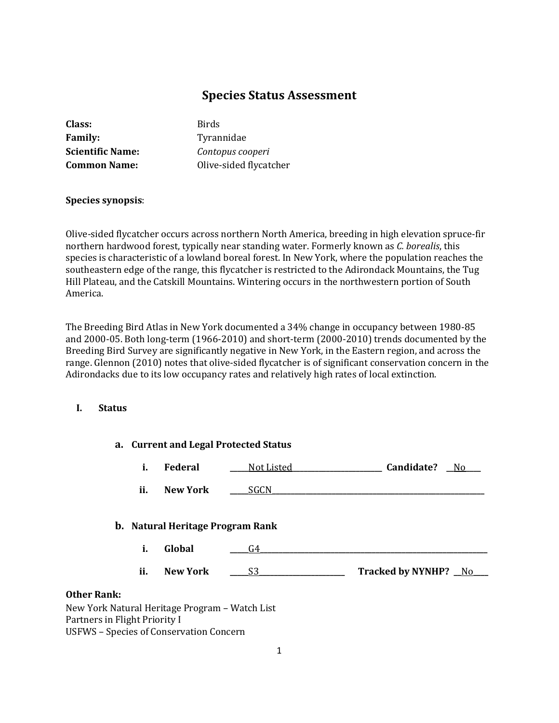# **Species Status Assessment**

| Class:                  |  |
|-------------------------|--|
| <b>Family:</b>          |  |
| <b>Scientific Name:</b> |  |
| <b>Common Name:</b>     |  |

**Class:** Birds **Family:** Tyrannidae **Scientific Name:** *Contopus cooperi* **Olive-sided flycatcher** 

### **Species synopsis**:

Olive-sided flycatcher occurs across northern North America, breeding in high elevation spruce-fir northern hardwood forest, typically near standing water. Formerly known as *C. borealis*, this species is characteristic of a lowland boreal forest. In New York, where the population reaches the southeastern edge of the range, this flycatcher is restricted to the Adirondack Mountains, the Tug Hill Plateau, and the Catskill Mountains. Wintering occurs in the northwestern portion of South America.

The Breeding Bird Atlas in New York documented a 34% change in occupancy between 1980-85 and 2000-05. Both long-term (1966-2010) and short-term (2000-2010) trends documented by the Breeding Bird Survey are significantly negative in New York, in the Eastern region, and across the range. Glennon (2010) notes that olive-sided flycatcher is of significant conservation concern in the Adirondacks due to its low occupancy rates and relatively high rates of local extinction.

### **I. Status**

|                               |     |                                                | a. Current and Legal Protected Status |                              |
|-------------------------------|-----|------------------------------------------------|---------------------------------------|------------------------------|
|                               | i.  | Federal                                        | Not Listed                            | Candidate?<br>N <sub>0</sub> |
|                               | ii. | <b>New York</b>                                | SGCN                                  |                              |
|                               |     | <b>b.</b> Natural Heritage Program Rank        |                                       |                              |
|                               | i.  | Global                                         | G4                                    |                              |
|                               | ii. | <b>New York</b>                                | S3                                    | Tracked by NYNHP? No         |
| <b>Other Rank:</b>            |     |                                                |                                       |                              |
|                               |     | New York Natural Heritage Program - Watch List |                                       |                              |
| Partners in Flight Priority I |     |                                                |                                       |                              |
|                               |     | <b>USFWS - Species of Conservation Concern</b> |                                       |                              |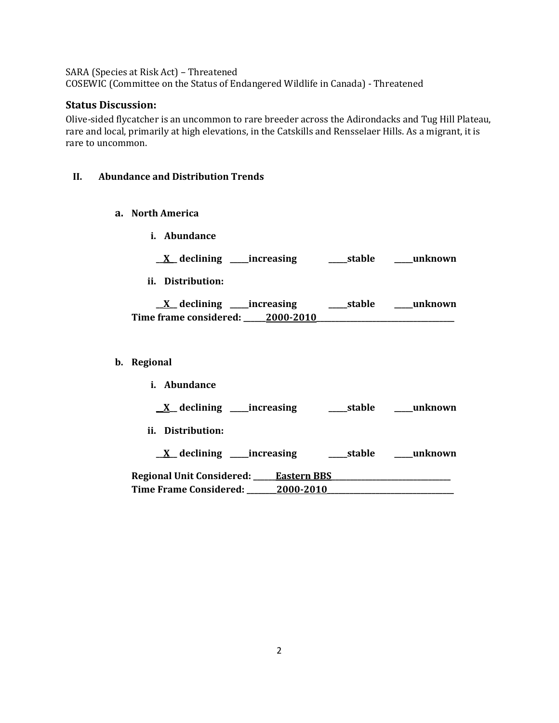SARA (Species at Risk Act) – Threatened

COSEWIC (Committee on the Status of Endangered Wildlife in Canada) - Threatened

## **Status Discussion:**

Olive-sided flycatcher is an uncommon to rare breeder across the Adirondacks and Tug Hill Plateau, rare and local, primarily at high elevations, in the Catskills and Rensselaer Hills. As a migrant, it is rare to uncommon.

### **II. Abundance and Distribution Trends**

- **a. North America**
	- **i. Abundance**

**\_\_X\_\_ declining \_\_\_\_\_increasing \_\_\_\_\_stable \_\_\_\_\_unknown**

**ii. Distribution:**

| _declining _____increasing |           | ___stable | unknown |
|----------------------------|-----------|-----------|---------|
| Time frame considered: J   | 2000-2010 |           |         |

### **b. Regional**

| i. Abundance                                     |           |            |         |
|--------------------------------------------------|-----------|------------|---------|
| $\underline{X}$ declining ______ increasing      |           | ____stable | unknown |
| ii. Distribution:                                |           |            |         |
| $X$ declining ______ increasing                  |           | stable     | unknown |
| <b>Regional Unit Considered:</b> ___ Eastern BBS |           |            |         |
| Time Frame Considered:                           | 2000-2010 |            |         |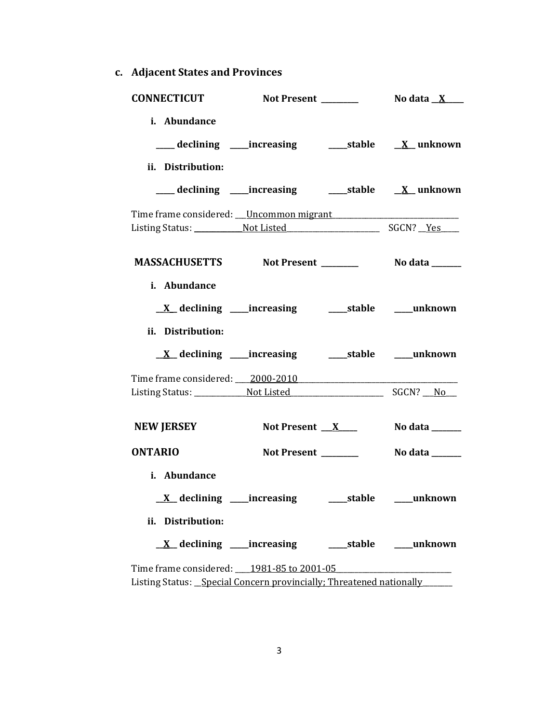**c. Adjacent States and Provinces**

| <b>CONNECTICUT</b>                                                                                               |                                                             |                             |
|------------------------------------------------------------------------------------------------------------------|-------------------------------------------------------------|-----------------------------|
| i. Abundance<br>ii. Distribution:                                                                                | ___ declining ____increasing ______stable ________ unknown  |                             |
|                                                                                                                  |                                                             |                             |
| Time frame considered: Uncommon migrant                                                                          |                                                             |                             |
| MASSACHUSETTS Not Present _________ No data ______                                                               |                                                             |                             |
| i. Abundance<br>ii. Distribution:                                                                                | <u>X</u> declining ____increasing ______stable _____unknown |                             |
|                                                                                                                  |                                                             |                             |
|                                                                                                                  |                                                             |                             |
| <b>NEW JERSEY</b>                                                                                                | Not Present $X$                                             | No data _______             |
| <b>ONTARIO</b>                                                                                                   | Not Present ______                                          | No data _______             |
| i. Abundance<br><u>X</u> declining ____increasing ______stable ____unknown<br>ii. Distribution:                  |                                                             |                             |
| $\underline{X}$ declining _____increasing                                                                        |                                                             | ______stable _______unknown |
| Time frame considered: 1981-85 to 2001-05<br>Listing Status: Special Concern provincially; Threatened nationally |                                                             |                             |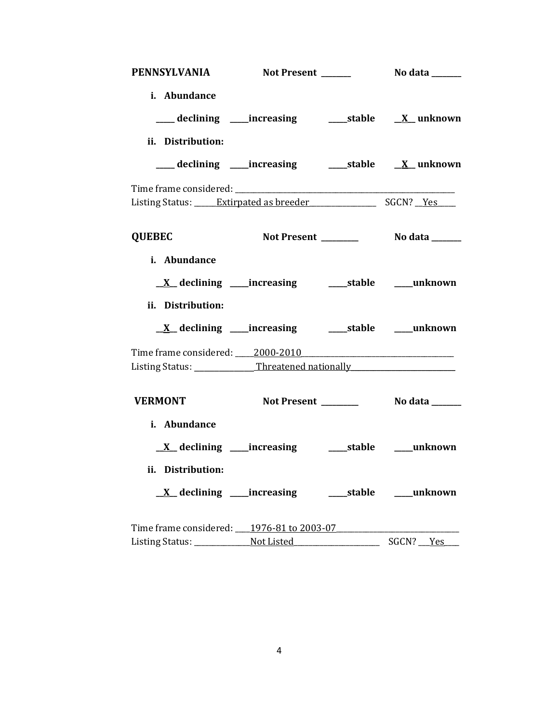| PENNSYLVANIA                                                                                    | <b>Not Present</b> | <b>No data</b> ______         |
|-------------------------------------------------------------------------------------------------|--------------------|-------------------------------|
| i. Abundance<br>___ declining ____increasing ______stable ___ X__unknown<br>ii. Distribution:   |                    |                               |
| ___ declining ____increasing ______stable ___ X__unknown                                        |                    |                               |
|                                                                                                 |                    |                               |
| Listing Status: _____ Extirpated as breeder _______________________ SGCN? __Yes                 |                    |                               |
| <b>QUEBEC</b>                                                                                   |                    |                               |
| i. Abundance<br><u>X</u> declining ____increasing ______stable ____unknown<br>ii. Distribution: |                    |                               |
| <u>X</u> declining ____increasing ______stable _____unknown                                     |                    |                               |
| Time frame considered: 2000-2010                                                                |                    |                               |
| Listing Status: _____________Threatened nationally _____________________________                |                    |                               |
| <b>VERMONT</b>                                                                                  |                    |                               |
| i. Abundance                                                                                    |                    |                               |
| ii. Distribution:                                                                               |                    |                               |
| <u>X</u> declining _____increasing                                                              |                    | ______stable _________unknown |
| Time frame considered: 1976-81 to 2003-07                                                       |                    |                               |
|                                                                                                 |                    | SGCN? __ Yes                  |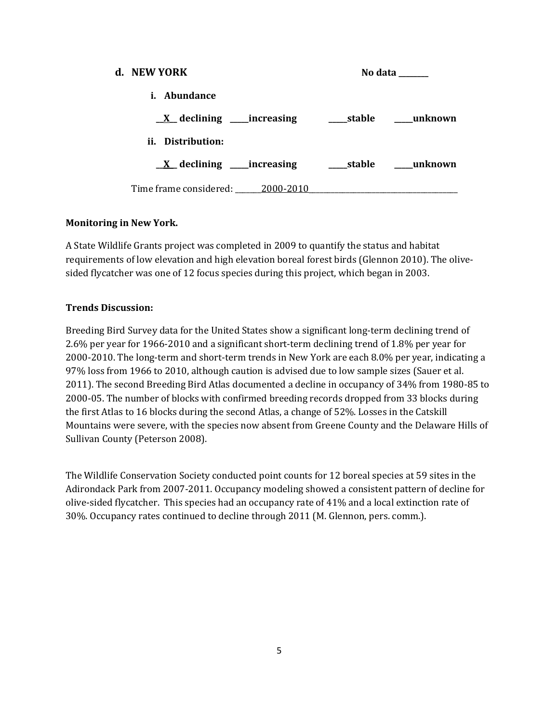| d. NEW YORK                                | No data                                 |
|--------------------------------------------|-----------------------------------------|
| <i>i.</i> Abundance                        |                                         |
|                                            |                                         |
| ii. Distribution:                          |                                         |
| $\underline{X}$ declining _____ increasing | stable <b>manufature</b> <u>unknown</u> |
| Time frame considered: 2000-2010           |                                         |

### **Monitoring in New York.**

A State Wildlife Grants project was completed in 2009 to quantify the status and habitat requirements of low elevation and high elevation boreal forest birds (Glennon 2010). The olivesided flycatcher was one of 12 focus species during this project, which began in 2003.

### **Trends Discussion:**

Breeding Bird Survey data for the United States show a significant long-term declining trend of 2.6% per year for 1966-2010 and a significant short-term declining trend of 1.8% per year for 2000-2010. The long-term and short-term trends in New York are each 8.0% per year, indicating a 97% loss from 1966 to 2010, although caution is advised due to low sample sizes (Sauer et al. 2011). The second Breeding Bird Atlas documented a decline in occupancy of 34% from 1980-85 to 2000-05. The number of blocks with confirmed breeding records dropped from 33 blocks during the first Atlas to 16 blocks during the second Atlas, a change of 52%. Losses in the Catskill Mountains were severe, with the species now absent from Greene County and the Delaware Hills of Sullivan County (Peterson 2008).

The Wildlife Conservation Society conducted point counts for 12 boreal species at 59 sites in the Adirondack Park from 2007-2011. Occupancy modeling showed a consistent pattern of decline for olive-sided flycatcher. This species had an occupancy rate of 41% and a local extinction rate of 30%. Occupancy rates continued to decline through 2011 (M. Glennon, pers. comm.).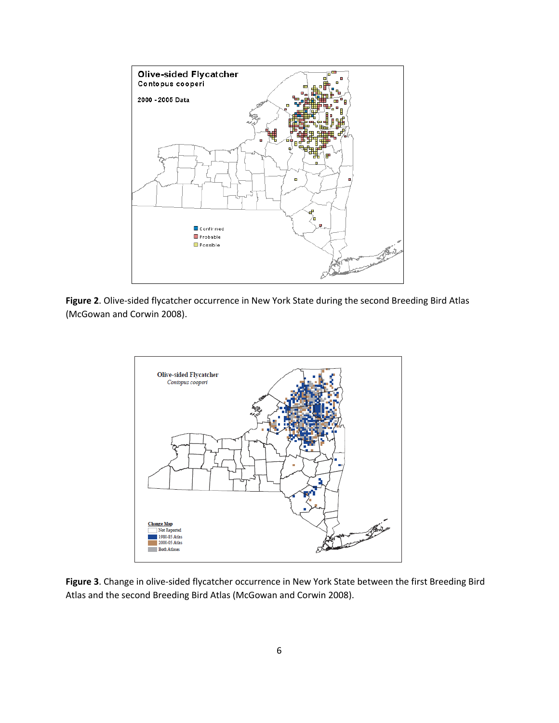

**Figure 2**. Olive-sided flycatcher occurrence in New York State during the second Breeding Bird Atlas (McGowan and Corwin 2008).



**Figure 3**. Change in olive-sided flycatcher occurrence in New York State between the first Breeding Bird Atlas and the second Breeding Bird Atlas (McGowan and Corwin 2008).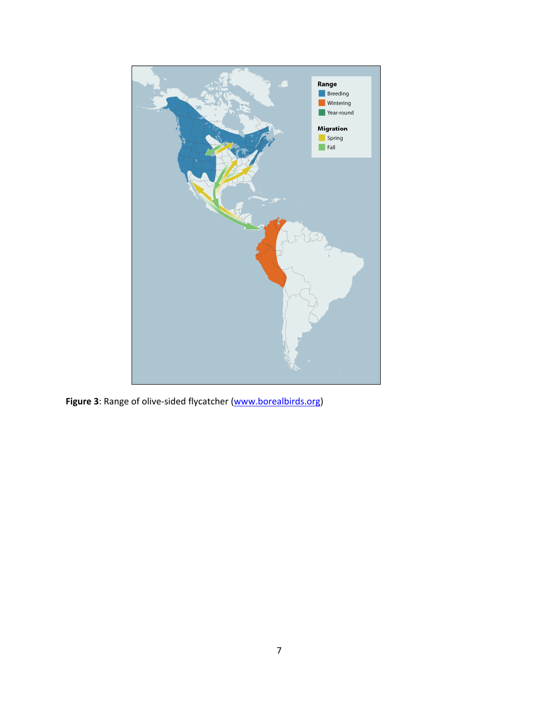

**Figure 3**: Range of olive-sided flycatcher [\(www.borealbirds.org\)](http://www.borealbirds.org/)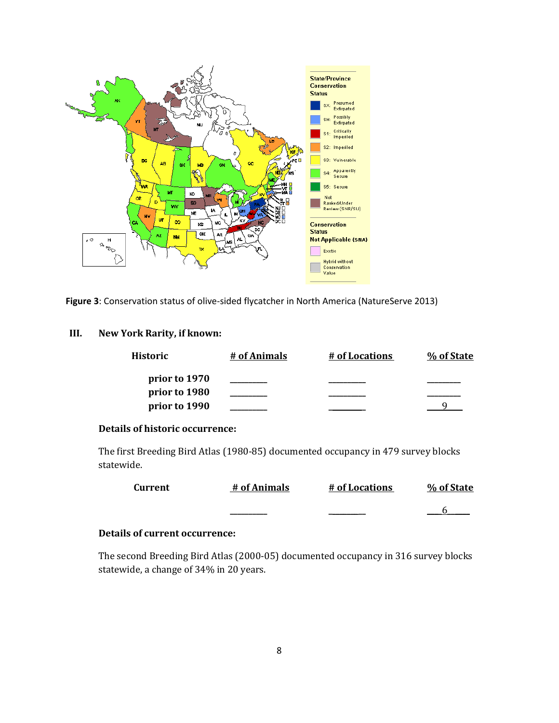

Figure 3: Conservation status of olive-sided flycatcher in North America (NatureServe 2013)

### **III. New York Rarity, if known:**

| Historic      | # of Animals | # of Locations | % of State |
|---------------|--------------|----------------|------------|
| prior to 1970 |              |                |            |
| prior to 1980 |              |                |            |
| prior to 1990 |              |                |            |

### **Details of historic occurrence:**

The first Breeding Bird Atlas (1980-85) documented occupancy in 479 survey blocks statewide.

| <b>Current</b> | # of Animals | # of Locations | % of State |
|----------------|--------------|----------------|------------|
|                |              |                |            |

### **Details of current occurrence:**

The second Breeding Bird Atlas (2000-05) documented occupancy in 316 survey blocks statewide, a change of 34% in 20 years.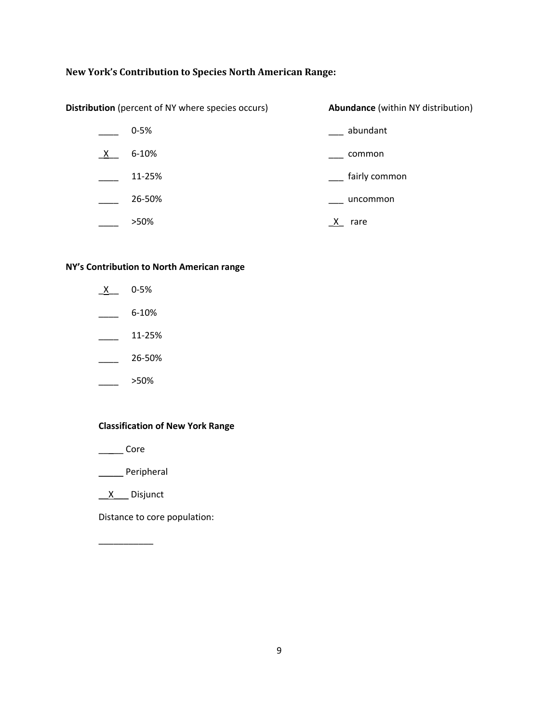# **New York's Contribution to Species North American Range:**

| <b>Distribution</b> (percent of NY where species occurs) |           | <b>Abundance</b> (within NY distribution) |
|----------------------------------------------------------|-----------|-------------------------------------------|
|                                                          | $0 - 5%$  | abundant                                  |
| $\mathsf{X}$                                             | $6 - 10%$ | common                                    |
|                                                          | 11-25%    | fairly common                             |
|                                                          | 26-50%    | uncommon                                  |
|                                                          | >50%      | rare                                      |

#### **NY's Contribution to North American range**

- $X$  0-5%  $\frac{6-10\%}{2}$  $\frac{11-25\%}{2}$  $-26 - 50\%$
- $\frac{\ }{\ }$  >50%

#### **Classification of New York Range**

- \_\_\_\_\_ Core
- \_\_\_\_\_ Peripheral
- \_\_X\_\_\_ Disjunct

 $\frac{1}{2}$  ,  $\frac{1}{2}$  ,  $\frac{1}{2}$  ,  $\frac{1}{2}$  ,  $\frac{1}{2}$  ,  $\frac{1}{2}$  ,  $\frac{1}{2}$  ,  $\frac{1}{2}$ 

Distance to core population: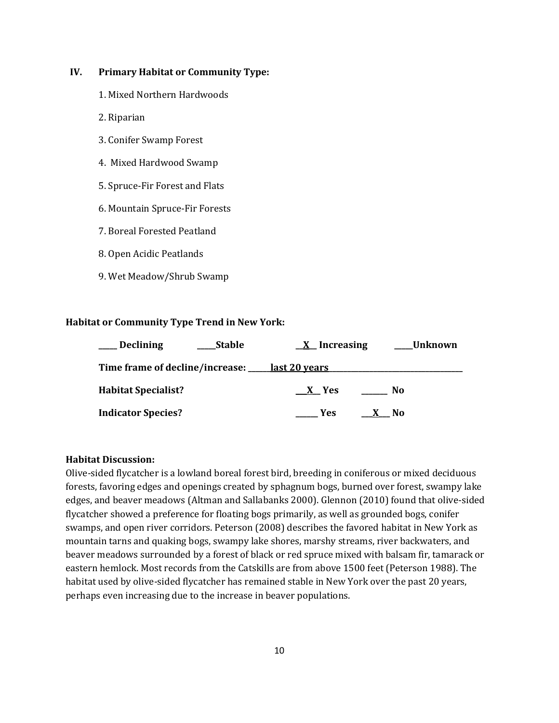#### **IV. Primary Habitat or Community Type:**

- 1. Mixed Northern Hardwoods
- 2. Riparian
- 3. Conifer Swamp Forest
- 4. Mixed Hardwood Swamp
- 5. Spruce-Fir Forest and Flats
- 6. Mountain Spruce-Fir Forests
- 7. Boreal Forested Peatland
- 8. Open Acidic Peatlands
- 9. Wet Meadow/Shrub Swamp

### **Habitat or Community Type Trend in New York:**

| <b>Declining</b>                                   | <b>Stable</b> | $\underline{X}$ Increasing | Unknown |
|----------------------------------------------------|---------------|----------------------------|---------|
| Time frame of decline/increase: ____ last 20 years |               |                            |         |
| <b>Habitat Specialist?</b>                         |               | $X$ Yes                    | No.     |
| <b>Indicator Species?</b>                          |               | <b>Yes</b>                 | No.     |

#### **Habitat Discussion:**

Olive-sided flycatcher is a lowland boreal forest bird, breeding in coniferous or mixed deciduous forests, favoring edges and openings created by sphagnum bogs, burned over forest, swampy lake edges, and beaver meadows (Altman and Sallabanks 2000). Glennon (2010) found that olive-sided flycatcher showed a preference for floating bogs primarily, as well as grounded bogs, conifer swamps, and open river corridors. Peterson (2008) describes the favored habitat in New York as mountain tarns and quaking bogs, swampy lake shores, marshy streams, river backwaters, and beaver meadows surrounded by a forest of black or red spruce mixed with balsam fir, tamarack or eastern hemlock. Most records from the Catskills are from above 1500 feet (Peterson 1988). The habitat used by olive-sided flycatcher has remained stable in New York over the past 20 years, perhaps even increasing due to the increase in beaver populations.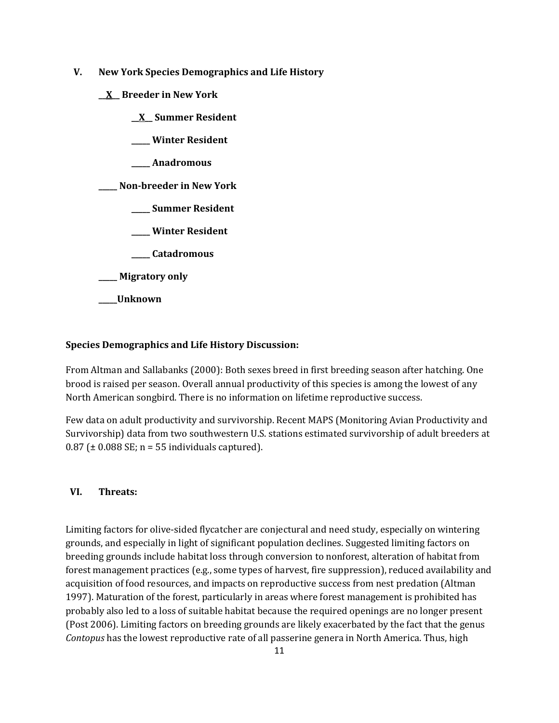- **V. New York Species Demographics and Life History**
	- **\_\_X\_\_ Breeder in New York**
		- **\_\_X\_\_ Summer Resident**
		- **\_\_\_\_\_ Winter Resident**
		- **\_\_\_\_\_ Anadromous**

**\_\_\_\_\_ Non-breeder in New York**

- **\_\_\_\_\_ Summer Resident**
- **\_\_\_\_\_ Winter Resident**
- **\_\_\_\_\_ Catadromous**
- **\_\_\_\_\_ Migratory only**
- **\_\_\_\_\_Unknown**

### **Species Demographics and Life History Discussion:**

From Altman and Sallabanks (2000): Both sexes breed in first breeding season after hatching. One brood is raised per season. Overall annual productivity of this species is among the lowest of any North American songbird. There is no information on lifetime reproductive success.

Few data on adult productivity and survivorship. Recent MAPS (Monitoring Avian Productivity and Survivorship) data from two southwestern U.S. stations estimated survivorship of adult breeders at  $0.87$  ( $\pm$  0.088 SE; n = 55 individuals captured).

### **VI. Threats:**

Limiting factors for olive-sided flycatcher are conjectural and need study, especially on wintering grounds, and especially in light of significant population declines. Suggested limiting factors on breeding grounds include habitat loss through conversion to nonforest, alteration of habitat from forest management practices (e.g., some types of harvest, fire suppression), reduced availability and acquisition of food resources, and impacts on reproductive success from nest predation (Altman 1997). Maturation of the forest, particularly in areas where forest management is prohibited has probably also led to a loss of suitable habitat because the required openings are no longer present (Post 2006). Limiting factors on breeding grounds are likely exacerbated by the fact that the genus *Contopus* has the lowest reproductive rate of all passerine genera in North America. Thus, high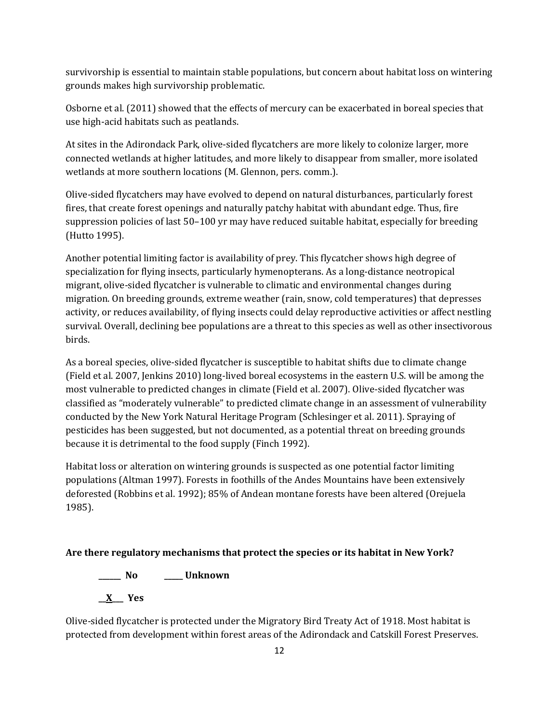survivorship is essential to maintain stable populations, but concern about habitat loss on wintering grounds makes high survivorship problematic.

Osborne et al. (2011) showed that the effects of mercury can be exacerbated in boreal species that use high-acid habitats such as peatlands.

At sites in the Adirondack Park, olive-sided flycatchers are more likely to colonize larger, more connected wetlands at higher latitudes, and more likely to disappear from smaller, more isolated wetlands at more southern locations (M. Glennon, pers. comm.).

Olive-sided flycatchers may have evolved to depend on natural disturbances, particularly forest fires, that create forest openings and naturally patchy habitat with abundant edge. Thus, fire suppression policies of last 50–100 yr may have reduced suitable habitat, especially for breeding (Hutto 1995).

Another potential limiting factor is availability of prey. This flycatcher shows high degree of specialization for flying insects, particularly hymenopterans. As a long-distance neotropical migrant, olive-sided flycatcher is vulnerable to climatic and environmental changes during migration. On breeding grounds, extreme weather (rain, snow, cold temperatures) that depresses activity, or reduces availability, of flying insects could delay reproductive activities or affect nestling survival. Overall, declining bee populations are a threat to this species as well as other insectivorous birds.

As a boreal species, olive-sided flycatcher is susceptible to habitat shifts due to climate change (Field et al. 2007, Jenkins 2010) long-lived boreal ecosystems in the eastern U.S. will be among the most vulnerable to predicted changes in climate (Field et al. 2007). Olive-sided flycatcher was classified as "moderately vulnerable" to predicted climate change in an assessment of vulnerability conducted by the New York Natural Heritage Program (Schlesinger et al. 2011). Spraying of pesticides has been suggested, but not documented, as a potential threat on breeding grounds because it is detrimental to the food supply (Finch 1992).

Habitat loss or alteration on wintering grounds is suspected as one potential factor limiting populations (Altman 1997). Forests in foothills of the Andes Mountains have been extensively deforested (Robbins et al. 1992); 85% of Andean montane forests have been altered (Orejuela 1985).

## **Are there regulatory mechanisms that protect the species or its habitat in New York?**

**\_\_\_\_\_\_ No \_\_\_\_\_ Unknown**

**\_\_X\_\_\_ Yes**

Olive-sided flycatcher is protected under the Migratory Bird Treaty Act of 1918. Most habitat is protected from development within forest areas of the Adirondack and Catskill Forest Preserves.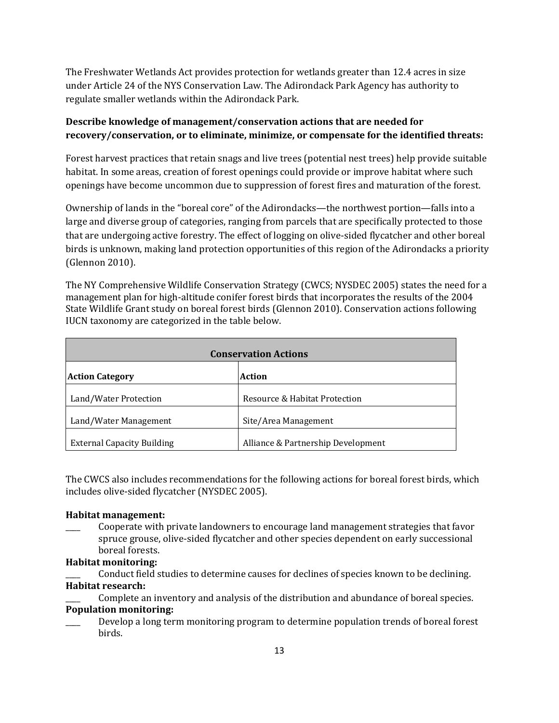The Freshwater Wetlands Act provides protection for wetlands greater than 12.4 acres in size under Article 24 of the NYS Conservation Law. The Adirondack Park Agency has authority to regulate smaller wetlands within the Adirondack Park.

## **Describe knowledge of management/conservation actions that are needed for recovery/conservation, or to eliminate, minimize, or compensate for the identified threats:**

Forest harvest practices that retain snags and live trees (potential nest trees) help provide suitable habitat. In some areas, creation of forest openings could provide or improve habitat where such openings have become uncommon due to suppression of forest fires and maturation of the forest.

Ownership of lands in the "boreal core" of the Adirondacks—the northwest portion—falls into a large and diverse group of categories, ranging from parcels that are specifically protected to those that are undergoing active forestry. The effect of logging on olive-sided flycatcher and other boreal birds is unknown, making land protection opportunities of this region of the Adirondacks a priority (Glennon 2010).

The NY Comprehensive Wildlife Conservation Strategy (CWCS; NYSDEC 2005) states the need for a management plan for high-altitude conifer forest birds that incorporates the results of the 2004 State Wildlife Grant study on boreal forest birds (Glennon 2010). Conservation actions following IUCN taxonomy are categorized in the table below.

| <b>Conservation Actions</b>       |                                    |  |
|-----------------------------------|------------------------------------|--|
| <b>Action Category</b>            | Action                             |  |
| Land/Water Protection             | Resource & Habitat Protection      |  |
| Land/Water Management             | Site/Area Management               |  |
| <b>External Capacity Building</b> | Alliance & Partnership Development |  |

The CWCS also includes recommendations for the following actions for boreal forest birds, which includes olive-sided flycatcher (NYSDEC 2005).

### **Habitat management:**

Cooperate with private landowners to encourage land management strategies that favor spruce grouse, olive-sided flycatcher and other species dependent on early successional boreal forests.

### **Habitat monitoring:**

Conduct field studies to determine causes for declines of species known to be declining. **Habitat research:**

Complete an inventory and analysis of the distribution and abundance of boreal species. **Population monitoring:**

Develop a long term monitoring program to determine population trends of boreal forest birds.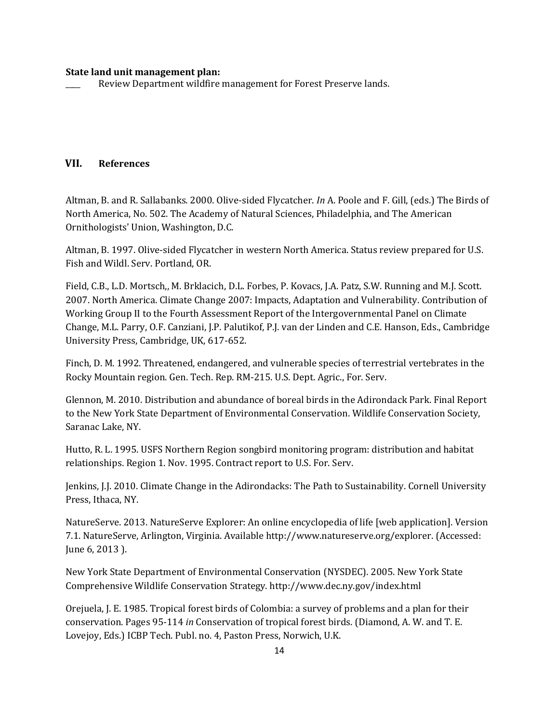#### **State land unit management plan:**

Review Department wildfire management for Forest Preserve lands.

### **VII. References**

Altman, B. and R. Sallabanks. 2000. Olive-sided Flycatcher. *In* A. Poole and F. Gill, (eds.) The Birds of North America, No. 502. The Academy of Natural Sciences, Philadelphia, and The American Ornithologists' Union, Washington, D.C.

Altman, B. 1997. Olive-sided Flycatcher in western North America. Status review prepared for U.S. Fish and Wildl. Serv. Portland, OR.

Field, C.B., L.D. Mortsch,, M. Brklacich, D.L. Forbes, P. Kovacs, J.A. Patz, S.W. Running and M.J. Scott. 2007. North America. Climate Change 2007: Impacts, Adaptation and Vulnerability. Contribution of Working Group II to the Fourth Assessment Report of the Intergovernmental Panel on Climate Change, M.L. Parry, O.F. Canziani, J.P. Palutikof, P.J. van der Linden and C.E. Hanson, Eds., Cambridge University Press, Cambridge, UK, 617-652.

Finch, D. M. 1992. Threatened, endangered, and vulnerable species of terrestrial vertebrates in the Rocky Mountain region. Gen. Tech. Rep. RM-215. U.S. Dept. Agric., For. Serv.

Glennon, M. 2010. Distribution and abundance of boreal birds in the Adirondack Park. Final Report to the New York State Department of Environmental Conservation. Wildlife Conservation Society, Saranac Lake, NY.

Hutto, R. L. 1995. USFS Northern Region songbird monitoring program: distribution and habitat relationships. Region 1. Nov. 1995. Contract report to U.S. For. Serv.

Jenkins, J.J. 2010. Climate Change in the Adirondacks: The Path to Sustainability. Cornell University Press, Ithaca, NY.

NatureServe. 2013. NatureServe Explorer: An online encyclopedia of life [web application]. Version 7.1. NatureServe, Arlington, Virginia. Available http://www.natureserve.org/explorer. (Accessed: June 6, 2013 ).

New York State Department of Environmental Conservation (NYSDEC). 2005. New York State Comprehensive Wildlife Conservation Strategy. http://www.dec.ny.gov/index.html

Orejuela, J. E. 1985. Tropical forest birds of Colombia: a survey of problems and a plan for their conservation. Pages 95-114 *in* Conservation of tropical forest birds. (Diamond, A. W. and T. E. Lovejoy, Eds.) ICBP Tech. Publ. no. 4, Paston Press, Norwich, U.K.